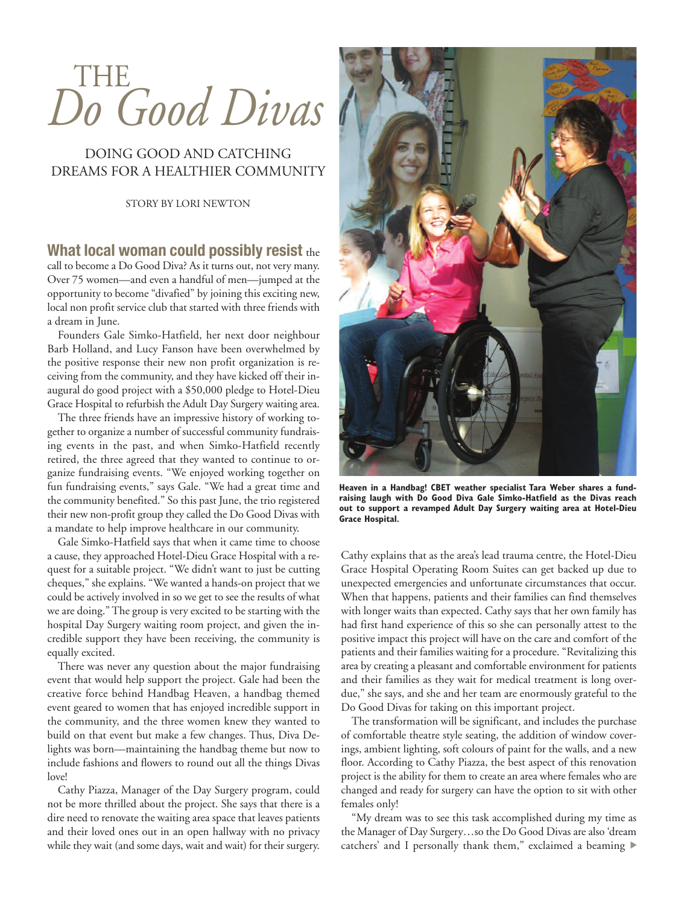# THE *Do Good Divas*

## DOING GOOD AND CATCHING DREAMS FOR A HEALTHIER COMMUNITY

STORY BY LORI NEWTON

#### **What local woman could possibly resist** the

call to become a Do Good Diva? As it turns out, not very many. Over 75 women—and even a handful of men—jumped at the opportunity to become "divafied" by joining this exciting new, local non profit service club that started with three friends with a dream in June.

Founders Gale Simko-Hatfield, her next door neighbour Barb Holland, and Lucy Fanson have been overwhelmed by the positive response their new non profit organization is receiving from the community, and they have kicked off their inaugural do good project with a \$50,000 pledge to Hotel-Dieu Grace Hospital to refurbish the Adult Day Surgery waiting area.

The three friends have an impressive history of working together to organize a number of successful community fundraising events in the past, and when Simko-Hatfield recently retired, the three agreed that they wanted to continue to organize fundraising events. "We enjoyed working together on fun fundraising events," says Gale. "We had a great time and the community benefited." So this past June, the trio registered their new non-profit group they called the Do Good Divas with a mandate to help improve healthcare in our community.

Gale Simko-Hatfield says that when it came time to choose a cause, they approached Hotel-Dieu Grace Hospital with a request for a suitable project. "We didn't want to just be cutting cheques," she explains. "We wanted a hands-on project that we could be actively involved in so we get to see the results of what we are doing." The group is very excited to be starting with the hospital Day Surgery waiting room project, and given the incredible support they have been receiving, the community is equally excited.

There was never any question about the major fundraising event that would help support the project. Gale had been the creative force behind Handbag Heaven, a handbag themed event geared to women that has enjoyed incredible support in the community, and the three women knew they wanted to build on that event but make a few changes. Thus, Diva Delights was born—maintaining the handbag theme but now to include fashions and flowers to round out all the things Divas love!

Cathy Piazza, Manager of the Day Surgery program, could not be more thrilled about the project. She says that there is a dire need to renovate the waiting area space that leaves patients and their loved ones out in an open hallway with no privacy while they wait (and some days, wait and wait) for their surgery.



**Heaven in a Handbag! CBET weather specialist Tara Weber shares a fundraising laugh with Do Good Diva Gale Simko-Hatfield as the Divas reach out to support a revamped Adult Day Surgery waiting area at Hotel-Dieu Grace Hospital.**

Cathy explains that as the area's lead trauma centre, the Hotel-Dieu Grace Hospital Operating Room Suites can get backed up due to unexpected emergencies and unfortunate circumstances that occur. When that happens, patients and their families can find themselves with longer waits than expected. Cathy says that her own family has had first hand experience of this so she can personally attest to the positive impact this project will have on the care and comfort of the patients and their families waiting for a procedure. "Revitalizing this area by creating a pleasant and comfortable environment for patients and their families as they wait for medical treatment is long overdue," she says, and she and her team are enormously grateful to the Do Good Divas for taking on this important project.

The transformation will be significant, and includes the purchase of comfortable theatre style seating, the addition of window coverings, ambient lighting, soft colours of paint for the walls, and a new floor. According to Cathy Piazza, the best aspect of this renovation project is the ability for them to create an area where females who are changed and ready for surgery can have the option to sit with other females only!

"My dream was to see this task accomplished during my time as the Manager of Day Surgery…so the Do Good Divas are also 'dream catchers' and I personally thank them," exclaimed a beaming ▶